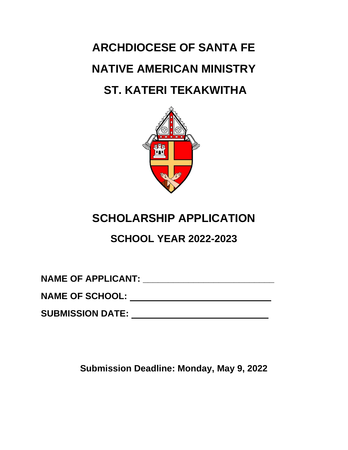**ARCHDIOCESE OF SANTA FE NATIVE AMERICAN MINISTRY ST. KATERI TEKAKWITHA**



## **SCHOLARSHIP APPLICATION**

### **SCHOOL YEAR 2022-2023**

**NAME OF APPLICANT: \_\_\_\_\_\_\_\_\_\_\_\_\_\_\_\_\_\_\_\_\_\_\_\_\_\_**

**NAME OF SCHOOL:**

**SUBMISSION DATE:**

**Submission Deadline: Monday, May 9, 2022**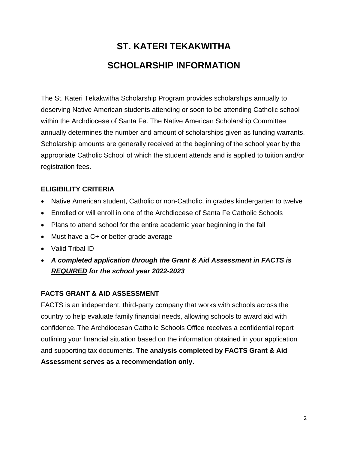# **ST. KATERI TEKAKWITHA SCHOLARSHIP INFORMATION**

The St. Kateri Tekakwitha Scholarship Program provides scholarships annually to deserving Native American students attending or soon to be attending Catholic school within the Archdiocese of Santa Fe. The Native American Scholarship Committee annually determines the number and amount of scholarships given as funding warrants. Scholarship amounts are generally received at the beginning of the school year by the appropriate Catholic School of which the student attends and is applied to tuition and/or registration fees.

#### **ELIGIBILITY CRITERIA**

- Native American student, Catholic or non-Catholic, in grades kindergarten to twelve
- Enrolled or will enroll in one of the Archdiocese of Santa Fe Catholic Schools
- Plans to attend school for the entire academic year beginning in the fall
- Must have a C+ or better grade average
- Valid Tribal ID
- *A completed application through the Grant & Aid Assessment in FACTS is REQUIRED for the school year 2022-2023*

#### **FACTS GRANT & AID ASSESSMENT**

FACTS is an independent, third-party company that works with schools across the country to help evaluate family financial needs, allowing schools to award aid with confidence. The Archdiocesan Catholic Schools Office receives a confidential report outlining your financial situation based on the information obtained in your application and supporting tax documents. **The analysis completed by FACTS Grant & Aid Assessment serves as a recommendation only.**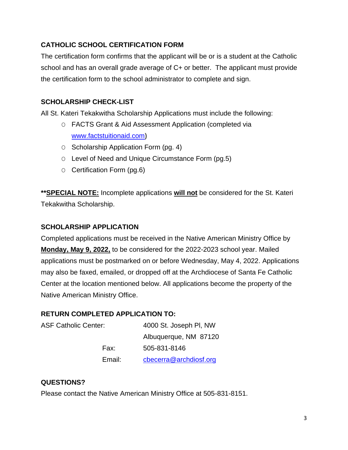#### **CATHOLIC SCHOOL CERTIFICATION FORM**

The certification form confirms that the applicant will be or is a student at the Catholic school and has an overall grade average of C+ or better. The applicant must provide the certification form to the school administrator to complete and sign.

#### **SCHOLARSHIP CHECK-LIST**

All St. Kateri Tekakwitha Scholarship Applications must include the following:

- O FACTS Grant & Aid Assessment Application (completed via [www.factstuitionaid.com](http://www.factstuitionaid.com/)**)**
- O Scholarship Application Form (pg. 4)
- O Level of Need and Unique Circumstance Form (pg.5)
- O Certification Form (pg.6)

**\*\*SPECIAL NOTE:** Incomplete applications **will not** be considered for the St. Kateri Tekakwitha Scholarship.

#### **SCHOLARSHIP APPLICATION**

Completed applications must be received in the Native American Ministry Office by **Monday, May 9, 2022,** to be considered for the 2022-2023 school year. Mailed applications must be postmarked on or before Wednesday, May 4, 2022. Applications may also be faxed, emailed, or dropped off at the Archdiocese of Santa Fe Catholic Center at the location mentioned below. All applications become the property of the Native American Ministry Office.

#### **RETURN COMPLETED APPLICATION TO:**

| <b>ASF Catholic Center:</b> |        | 4000 St. Joseph PI, NW |
|-----------------------------|--------|------------------------|
|                             |        | Albuquerque, NM 87120  |
|                             | Fax:   | 505-831-8146           |
|                             | Email: | cbecerra@archdiosf.org |

#### **QUESTIONS?**

Please contact the Native American Ministry Office at 505-831-8151.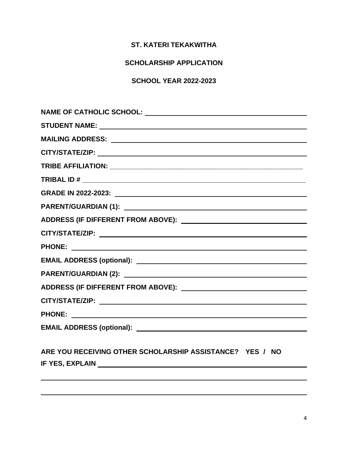#### **ST. KATERI TEKAKWITHA**

#### **SCHOLARSHIP APPLICATION**

#### **SCHOOL YEAR 2022-2023**

| MAILING ADDRESS: NATIONAL PROPERTY OF THE CONTRACT OF THE CONTRACT OF THE CONTRACT OF THE CONTRACT OF THE CONTRACT OF THE CONTRACT OF THE CONTRACT OF THE CONTRACT OF THE CONTRACT OF THE CONTRACT OF THE CONTRACT OF THE CONT |  |  |
|--------------------------------------------------------------------------------------------------------------------------------------------------------------------------------------------------------------------------------|--|--|
|                                                                                                                                                                                                                                |  |  |
|                                                                                                                                                                                                                                |  |  |
|                                                                                                                                                                                                                                |  |  |
|                                                                                                                                                                                                                                |  |  |
|                                                                                                                                                                                                                                |  |  |
|                                                                                                                                                                                                                                |  |  |
|                                                                                                                                                                                                                                |  |  |
|                                                                                                                                                                                                                                |  |  |
|                                                                                                                                                                                                                                |  |  |
|                                                                                                                                                                                                                                |  |  |
|                                                                                                                                                                                                                                |  |  |
|                                                                                                                                                                                                                                |  |  |
|                                                                                                                                                                                                                                |  |  |
|                                                                                                                                                                                                                                |  |  |
|                                                                                                                                                                                                                                |  |  |
| ARE YOU RECEIVING OTHER SCHOLARSHIP ASSISTANCE? YES / NO                                                                                                                                                                       |  |  |
|                                                                                                                                                                                                                                |  |  |
|                                                                                                                                                                                                                                |  |  |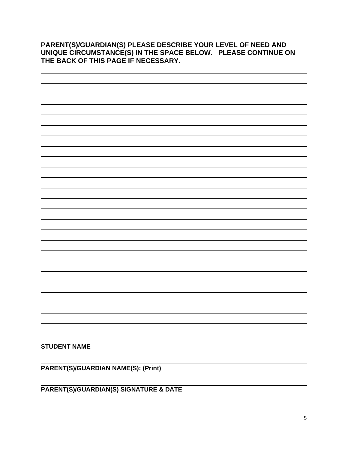**PARENT(S)/GUARDIAN(S) PLEASE DESCRIBE YOUR LEVEL OF NEED AND UNIQUE CIRCUMSTANCE(S) IN THE SPACE BELOW. PLEASE CONTINUE ON THE BACK OF THIS PAGE IF NECESSARY.** 



**PARENT(S)/GUARDIAN NAME(S): (Print)**

**PARENT(S)/GUARDIAN(S) SIGNATURE & DATE**